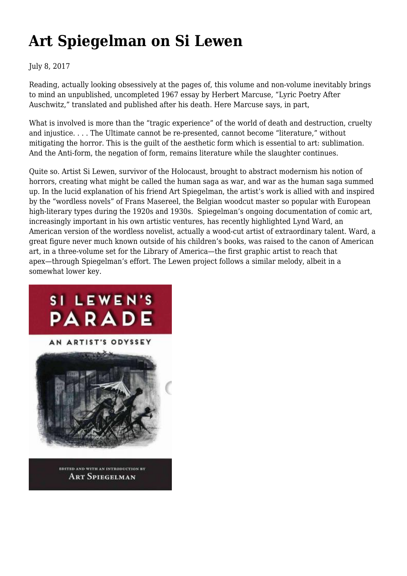## **[Art Spiegelman on Si Lewen](https://newpol.org/review/art-spiegelman-si-lewen/)**

### July 8, 2017

Reading, actually looking obsessively at the pages of, this volume and non-volume inevitably brings to mind an unpublished, uncompleted 1967 essay by Herbert Marcuse, "Lyric Poetry After Auschwitz," translated and published after his death. Here Marcuse says, in part,

What is involved is more than the "tragic experience" of the world of death and destruction, cruelty and injustice. . . . The Ultimate cannot be re-presented, cannot become "literature," without mitigating the horror. This is the guilt of the aesthetic form which is essential to art: sublimation. And the Anti-form, the negation of form, remains literature while the slaughter continues.

Quite so. Artist Si Lewen, survivor of the Holocaust, brought to abstract modernism his notion of horrors, creating what might be called the human saga as war, and war as the human saga summed up. In the lucid explanation of his friend Art Spiegelman, the artist's work is allied with and inspired by the "wordless novels" of Frans Masereel, the Belgian woodcut master so popular with European high-literary types during the 1920s and 1930s. Spiegelman's ongoing documentation of comic art, increasingly important in his own artistic ventures, has recently highlighted Lynd Ward, an American version of the wordless novelist, actually a wood-cut artist of extraordinary talent. Ward, a great figure never much known outside of his children's books, was raised to the canon of American art, in a three-volume set for the Library of America—the first graphic artist to reach that apex—through Spiegelman's effort. The Lewen project follows a similar melody, albeit in a somewhat lower key.

# SI LEWEN'S PARADE AN ARTIST'S ODYSSEY EDITED AND WITH AN INTRODUCTION BY

**ART SPIEGELMAN**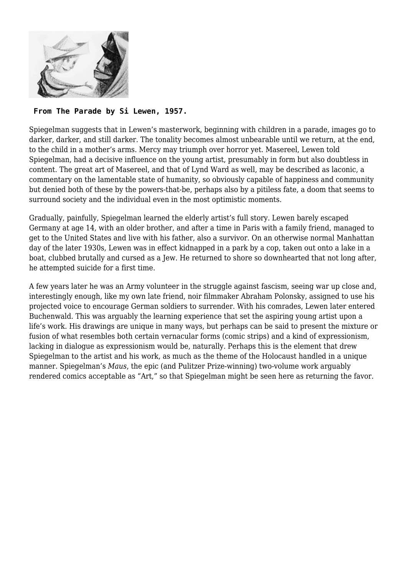

#### **From The Parade by Si Lewen, 1957.**

Spiegelman suggests that in Lewen's masterwork, beginning with children in a parade, images go to darker, darker, and still darker. The tonality becomes almost unbearable until we return, at the end, to the child in a mother's arms. Mercy may triumph over horror yet. Masereel, Lewen told Spiegelman, had a decisive influence on the young artist, presumably in form but also doubtless in content. The great art of Masereel, and that of Lynd Ward as well, may be described as laconic, a commentary on the lamentable state of humanity, so obviously capable of happiness and community but denied both of these by the powers-that-be, perhaps also by a pitiless fate, a doom that seems to surround society and the individual even in the most optimistic moments.

Gradually, painfully, Spiegelman learned the elderly artist's full story. Lewen barely escaped Germany at age 14, with an older brother, and after a time in Paris with a family friend, managed to get to the United States and live with his father, also a survivor. On an otherwise normal Manhattan day of the later 1930s, Lewen was in effect kidnapped in a park by a cop, taken out onto a lake in a boat, clubbed brutally and cursed as a Jew. He returned to shore so downhearted that not long after, he attempted suicide for a first time.

A few years later he was an Army volunteer in the struggle against fascism, seeing war up close and, interestingly enough, like my own late friend, noir filmmaker Abraham Polonsky, assigned to use his projected voice to encourage German soldiers to surrender. With his comrades, Lewen later entered Buchenwald. This was arguably the learning experience that set the aspiring young artist upon a life's work. His drawings are unique in many ways, but perhaps can be said to present the mixture or fusion of what resembles both certain vernacular forms (comic strips) and a kind of expressionism, lacking in dialogue as expressionism would be, naturally. Perhaps this is the element that drew Spiegelman to the artist and his work, as much as the theme of the Holocaust handled in a unique manner. Spiegelman's *Maus*, the epic (and Pulitzer Prize-winning) two-volume work arguably rendered comics acceptable as "Art," so that Spiegelman might be seen here as returning the favor.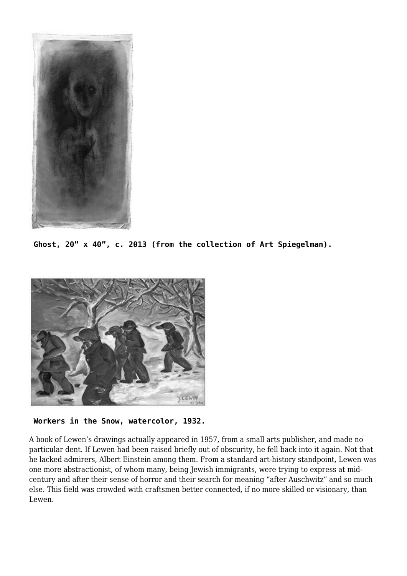

**Ghost, 20" x 40", c. 2013 (from the collection of Art Spiegelman).**



**Workers in the Snow, watercolor, 1932.**

A book of Lewen's drawings actually appeared in 1957, from a small arts publisher, and made no particular dent. If Lewen had been raised briefly out of obscurity, he fell back into it again. Not that he lacked admirers, Albert Einstein among them. From a standard art-history standpoint, Lewen was one more abstractionist, of whom many, being Jewish immigrants, were trying to express at midcentury and after their sense of horror and their search for meaning "after Auschwitz" and so much else. This field was crowded with craftsmen better connected, if no more skilled or visionary, than Lewen.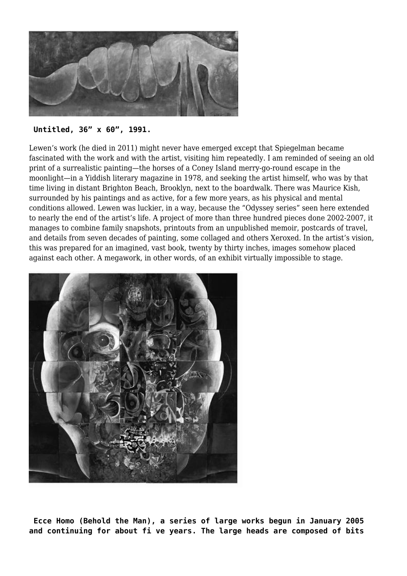

#### **Untitled, 36" x 60", 1991.**

Lewen's work (he died in 2011) might never have emerged except that Spiegelman became fascinated with the work and with the artist, visiting him repeatedly. I am reminded of seeing an old print of a surrealistic painting—the horses of a Coney Island merry-go-round escape in the moonlight—in a Yiddish literary magazine in 1978, and seeking the artist himself, who was by that time living in distant Brighton Beach, Brooklyn, next to the boardwalk. There was Maurice Kish, surrounded by his paintings and as active, for a few more years, as his physical and mental conditions allowed. Lewen was luckier, in a way, because the "Odyssey series" seen here extended to nearly the end of the artist's life. A project of more than three hundred pieces done 2002-2007, it manages to combine family snapshots, printouts from an unpublished memoir, postcards of travel, and details from seven decades of painting, some collaged and others Xeroxed. In the artist's vision, this was prepared for an imagined, vast book, twenty by thirty inches, images somehow placed against each other. A megawork, in other words, of an exhibit virtually impossible to stage.



**Ecce Homo (Behold the Man), a series of large works begun in January 2005 and continuing for about fi ve years. The large heads are composed of bits**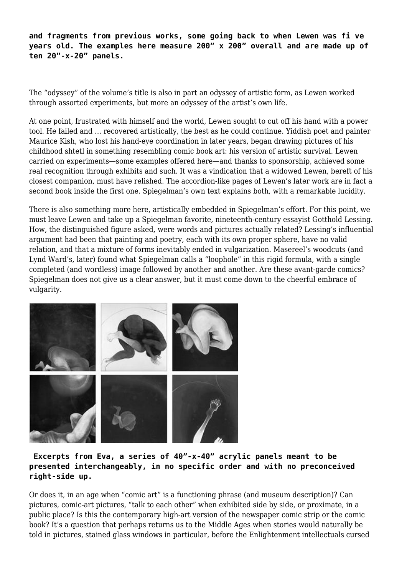**and fragments from previous works, some going back to when Lewen was fi ve years old. The examples here measure 200" x 200" overall and are made up of ten 20"-x-20" panels.**

The "odyssey" of the volume's title is also in part an odyssey of artistic form, as Lewen worked through assorted experiments, but more an odyssey of the artist's own life.

At one point, frustrated with himself and the world, Lewen sought to cut off his hand with a power tool. He failed and … recovered artistically, the best as he could continue. Yiddish poet and painter Maurice Kish, who lost his hand-eye coordination in later years, began drawing pictures of his childhood shtetl in something resembling comic book art: his version of artistic survival. Lewen carried on experiments—some examples offered here—and thanks to sponsorship, achieved some real recognition through exhibits and such. It was a vindication that a widowed Lewen, bereft of his closest companion, must have relished. The accordion-like pages of Lewen's later work are in fact a second book inside the first one. Spiegelman's own text explains both, with a remarkable lucidity.

There is also something more here, artistically embedded in Spiegelman's effort. For this point, we must leave Lewen and take up a Spiegelman favorite, nineteenth-century essayist Gotthold Lessing. How, the distinguished figure asked, were words and pictures actually related? Lessing's influential argument had been that painting and poetry, each with its own proper sphere, have no valid relation, and that a mixture of forms inevitably ended in vulgarization. Masereel's woodcuts (and Lynd Ward's, later) found what Spiegelman calls a "loophole" in this rigid formula, with a single completed (and wordless) image followed by another and another. Are these avant-garde comics? Spiegelman does not give us a clear answer, but it must come down to the cheerful embrace of vulgarity.



### **Excerpts from Eva, a series of 40"-x-40" acrylic panels meant to be presented interchangeably, in no specific order and with no preconceived right-side up.**

Or does it, in an age when "comic art" is a functioning phrase (and museum description)? Can pictures, comic-art pictures, "talk to each other" when exhibited side by side, or proximate, in a public place? Is this the contemporary high-art version of the newspaper comic strip or the comic book? It's a question that perhaps returns us to the Middle Ages when stories would naturally be told in pictures, stained glass windows in particular, before the Enlightenment intellectuals cursed